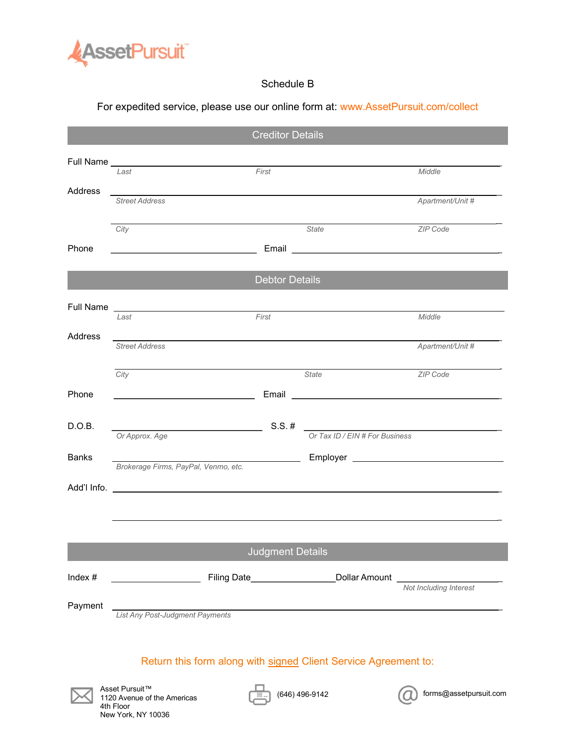

# Schedule B

### For expedited service, please use our online form at: www.AssetPursuit.com/collect

|                         | <b>Creditor Details</b>                                                            |                                |                        |
|-------------------------|------------------------------------------------------------------------------------|--------------------------------|------------------------|
|                         |                                                                                    |                                |                        |
|                         | First<br>Last                                                                      |                                | Middle                 |
| Address                 | <b>Street Address</b>                                                              |                                | Apartment/Unit #       |
|                         | City                                                                               | State                          | ZIP Code               |
| Phone                   |                                                                                    |                                |                        |
| <b>Debtor Details</b>   |                                                                                    |                                |                        |
|                         |                                                                                    |                                |                        |
|                         | First<br>Last                                                                      |                                | Middle                 |
| Address                 | <u> 1980 - John Stoff, amerikansk politiker (d. 1980)</u><br><b>Street Address</b> |                                | Apartment/Unit #       |
|                         | City                                                                               | State                          | ZIP Code               |
| Phone                   |                                                                                    |                                |                        |
| D.O.B.                  | $S.S.$ #<br><u> 1989 - Johann Barbara, martin a</u>                                |                                |                        |
|                         | Or Approx. Age                                                                     | Or Tax ID / EIN # For Business |                        |
| <b>Banks</b>            | Brokerage Firms, PayPal, Venmo, etc.                                               |                                |                        |
|                         |                                                                                    |                                |                        |
|                         |                                                                                    |                                |                        |
|                         |                                                                                    |                                |                        |
| <b>Judgment Details</b> |                                                                                    |                                |                        |
| Index $#$               | Lollar Amount                                                                      |                                |                        |
| Payment                 |                                                                                    |                                | Not Including Interest |
|                         | List Any Post-Judgment Payments                                                    |                                |                        |

# Return this form along with signed Client Service Agreement to:



Asset Pursuit™ 1120 Avenue of the Americas 4th Floor New York, NY 10036



 $(646)$  496-9142  $(2)$  forms@assetpursuit.com

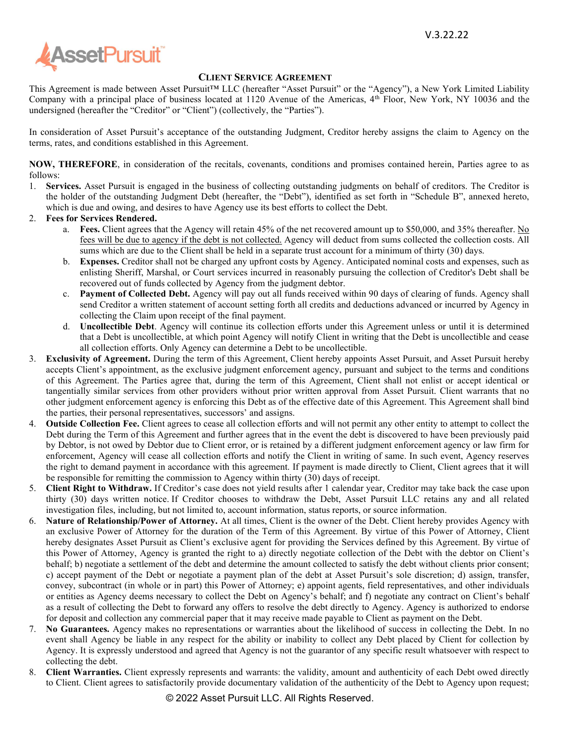

#### CLIENT SERVICE AGREEMENT

This Agreement is made between Asset Pursuit™ LLC (hereafter "Asset Pursuit" or the "Agency"), a New York Limited Liability Company with a principal place of business located at 1120 Avenue of the Americas,  $4<sup>th</sup>$  Floor, New York, NY 10036 and the undersigned (hereafter the "Creditor" or "Client") (collectively, the "Parties").

In consideration of Asset Pursuit's acceptance of the outstanding Judgment, Creditor hereby assigns the claim to Agency on the terms, rates, and conditions established in this Agreement.

NOW, THEREFORE, in consideration of the recitals, covenants, conditions and promises contained herein, Parties agree to as follows:

1. Services. Asset Pursuit is engaged in the business of collecting outstanding judgments on behalf of creditors. The Creditor is the holder of the outstanding Judgment Debt (hereafter, the "Debt"), identified as set forth in "Schedule B", annexed hereto, which is due and owing, and desires to have Agency use its best efforts to collect the Debt.

#### 2. Fees for Services Rendered.

- a. Fees. Client agrees that the Agency will retain 45% of the net recovered amount up to \$50,000, and 35% thereafter. No fees will be due to agency if the debt is not collected. Agency will deduct from sums collected the collection costs. All sums which are due to the Client shall be held in a separate trust account for a minimum of thirty (30) days.
- b. Expenses. Creditor shall not be charged any upfront costs by Agency. Anticipated nominal costs and expenses, such as enlisting Sheriff, Marshal, or Court services incurred in reasonably pursuing the collection of Creditor's Debt shall be recovered out of funds collected by Agency from the judgment debtor.
- c. Payment of Collected Debt. Agency will pay out all funds received within 90 days of clearing of funds. Agency shall send Creditor a written statement of account setting forth all credits and deductions advanced or incurred by Agency in collecting the Claim upon receipt of the final payment.
- d. Uncollectible Debt. Agency will continue its collection efforts under this Agreement unless or until it is determined that a Debt is uncollectible, at which point Agency will notify Client in writing that the Debt is uncollectible and cease all collection efforts. Only Agency can determine a Debt to be uncollectible.
- 3. Exclusivity of Agreement. During the term of this Agreement, Client hereby appoints Asset Pursuit, and Asset Pursuit hereby accepts Client's appointment, as the exclusive judgment enforcement agency, pursuant and subject to the terms and conditions of this Agreement. The Parties agree that, during the term of this Agreement, Client shall not enlist or accept identical or tangentially similar services from other providers without prior written approval from Asset Pursuit. Client warrants that no other judgment enforcement agency is enforcing this Debt as of the effective date of this Agreement. This Agreement shall bind the parties, their personal representatives, successors' and assigns.
- 4. Outside Collection Fee. Client agrees to cease all collection efforts and will not permit any other entity to attempt to collect the Debt during the Term of this Agreement and further agrees that in the event the debt is discovered to have been previously paid by Debtor, is not owed by Debtor due to Client error, or is retained by a different judgment enforcement agency or law firm for enforcement, Agency will cease all collection efforts and notify the Client in writing of same. In such event, Agency reserves the right to demand payment in accordance with this agreement. If payment is made directly to Client, Client agrees that it will be responsible for remitting the commission to Agency within thirty (30) days of receipt.
- 5. Client Right to Withdraw. If Creditor's case does not yield results after 1 calendar year, Creditor may take back the case upon thirty (30) days written notice. If Creditor chooses to withdraw the Debt, Asset Pursuit LLC retains any and all related investigation files, including, but not limited to, account information, status reports, or source information.
- 6. Nature of Relationship/Power of Attorney. At all times, Client is the owner of the Debt. Client hereby provides Agency with an exclusive Power of Attorney for the duration of the Term of this Agreement. By virtue of this Power of Attorney, Client hereby designates Asset Pursuit as Client's exclusive agent for providing the Services defined by this Agreement. By virtue of this Power of Attorney, Agency is granted the right to a) directly negotiate collection of the Debt with the debtor on Client's behalf; b) negotiate a settlement of the debt and determine the amount collected to satisfy the debt without clients prior consent; c) accept payment of the Debt or negotiate a payment plan of the debt at Asset Pursuit's sole discretion; d) assign, transfer, convey, subcontract (in whole or in part) this Power of Attorney; e) appoint agents, field representatives, and other individuals or entities as Agency deems necessary to collect the Debt on Agency's behalf; and f) negotiate any contract on Client's behalf as a result of collecting the Debt to forward any offers to resolve the debt directly to Agency. Agency is authorized to endorse for deposit and collection any commercial paper that it may receive made payable to Client as payment on the Debt.
- 7. No Guarantees. Agency makes no representations or warranties about the likelihood of success in collecting the Debt. In no event shall Agency be liable in any respect for the ability or inability to collect any Debt placed by Client for collection by Agency. It is expressly understood and agreed that Agency is not the guarantor of any specific result whatsoever with respect to collecting the debt.
- 8. Client Warranties. Client expressly represents and warrants: the validity, amount and authenticity of each Debt owed directly to Client. Client agrees to satisfactorily provide documentary validation of the authenticity of the Debt to Agency upon request;